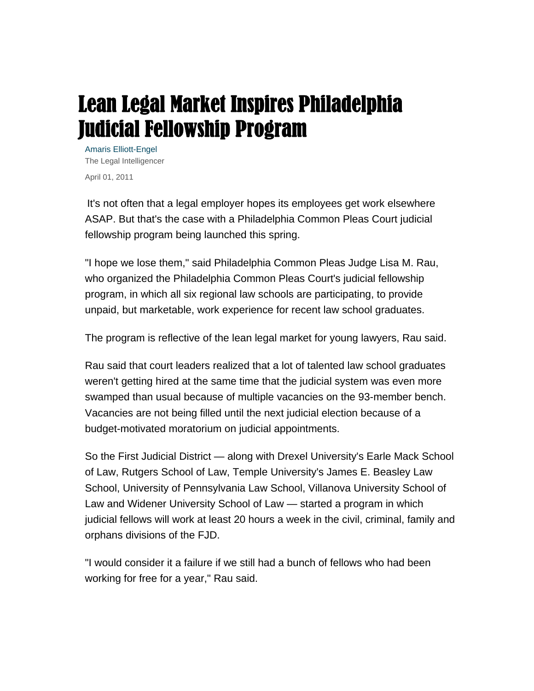## Lean Legal Market Inspires Philadelphia Judicial Fellowship Program

Amaris Elliott-Engel The Legal Intelligencer April 01, 2011

It's not often that a legal employer hopes its employees get work elsewhere ASAP. But that's the case with a Philadelphia Common Pleas Court judicial fellowship program being launched this spring.

"I hope we lose them," said Philadelphia Common Pleas Judge Lisa M. Rau, who organized the Philadelphia Common Pleas Court's judicial fellowship program, in which all six regional law schools are participating, to provide unpaid, but marketable, work experience for recent law school graduates.

The program is reflective of the lean legal market for young lawyers, Rau said.

Rau said that court leaders realized that a lot of talented law school graduates weren't getting hired at the same time that the judicial system was even more swamped than usual because of multiple vacancies on the 93-member bench. Vacancies are not being filled until the next judicial election because of a budget-motivated moratorium on judicial appointments.

So the First Judicial District — along with Drexel University's Earle Mack School of Law, Rutgers School of Law, Temple University's James E. Beasley Law School, University of Pennsylvania Law School, Villanova University School of Law and Widener University School of Law — started a program in which judicial fellows will work at least 20 hours a week in the civil, criminal, family and orphans divisions of the FJD.

"I would consider it a failure if we still had a bunch of fellows who had been working for free for a year," Rau said.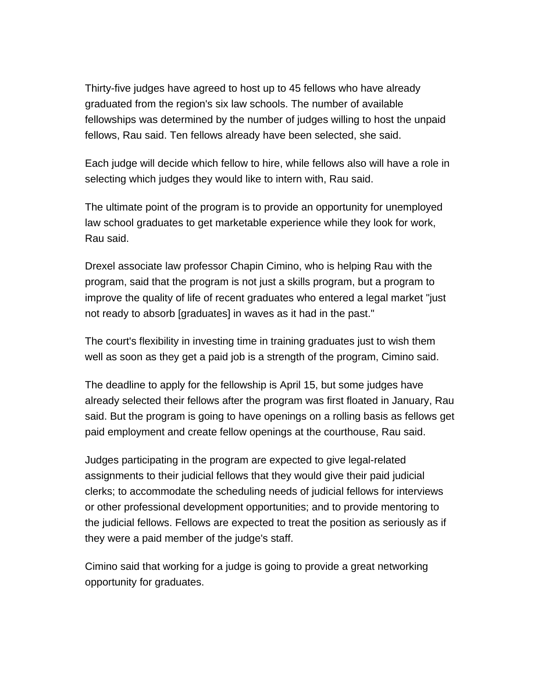Thirty-five judges have agreed to host up to 45 fellows who have already graduated from the region's six law schools. The number of available fellowships was determined by the number of judges willing to host the unpaid fellows, Rau said. Ten fellows already have been selected, she said.

Each judge will decide which fellow to hire, while fellows also will have a role in selecting which judges they would like to intern with, Rau said.

The ultimate point of the program is to provide an opportunity for unemployed law school graduates to get marketable experience while they look for work, Rau said.

Drexel associate law professor Chapin Cimino, who is helping Rau with the program, said that the program is not just a skills program, but a program to improve the quality of life of recent graduates who entered a legal market "just not ready to absorb [graduates] in waves as it had in the past."

The court's flexibility in investing time in training graduates just to wish them well as soon as they get a paid job is a strength of the program, Cimino said.

The deadline to apply for the fellowship is April 15, but some judges have already selected their fellows after the program was first floated in January, Rau said. But the program is going to have openings on a rolling basis as fellows get paid employment and create fellow openings at the courthouse, Rau said.

Judges participating in the program are expected to give legal-related assignments to their judicial fellows that they would give their paid judicial clerks; to accommodate the scheduling needs of judicial fellows for interviews or other professional development opportunities; and to provide mentoring to the judicial fellows. Fellows are expected to treat the position as seriously as if they were a paid member of the judge's staff.

Cimino said that working for a judge is going to provide a great networking opportunity for graduates.